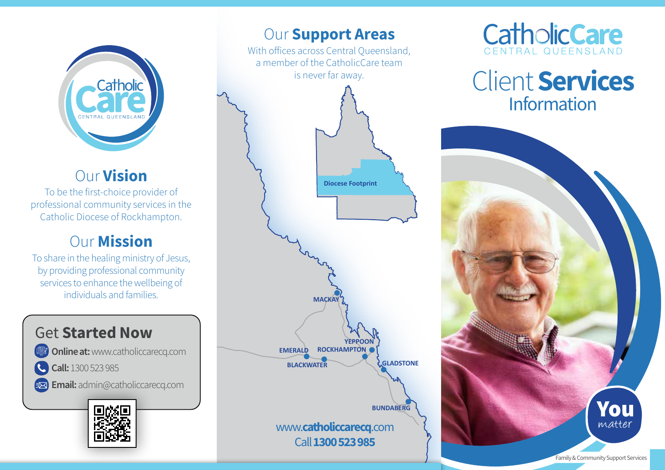

# Our Vision

To be the first-choice provider of professional community services in the Catholic Diocese of Rockhampton.

## Our Mission

To share in the healing ministry of Jesus, by providing professional community services to enhance the wellbeing of individuals and families.

## Get Started Now **Online at: www.catholiccarecq.com**

C. Call: 1300 523 985

Email: admin@catholiccarecq.com



## **Our Support Areas**

With offices across Central Queensland, a member of the CatholicCare team is never far away.





# Client Services Information